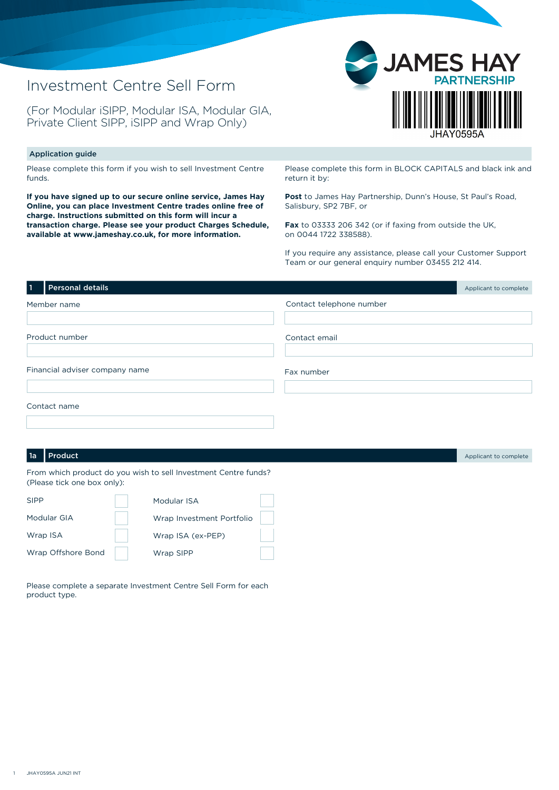## Investment Centre Sell Form

(For Modular iSIPP, Modular ISA, Modular GIA, Private Client SIPP, iSIPP and Wrap Only)



## Application guide

Please complete this form if you wish to sell Investment Centre funds.

**If you have signed up to our secure online service, James Hay Online, you can place Investment Centre trades online free of charge. Instructions submitted on this form will incur a transaction charge. Please see your product Charges Schedule, available at www.jameshay.co.uk, for more information.**

Please complete this form in BLOCK CAPITALS and black ink and return it by:

**Post** to James Hay Partnership, Dunn's House, St Paul's Road, Salisbury, SP2 7BF, or

**Fax** to 03333 206 342 (or if faxing from outside the UK, on 0044 1722 338588).

If you require any assistance, please call your Customer Support Team or our general enquiry number 03455 212 414.

| $\mathbf{1}$                   | Personal details |                          | Applicant to complete |
|--------------------------------|------------------|--------------------------|-----------------------|
| Member name                    |                  | Contact telephone number |                       |
|                                |                  |                          |                       |
|                                | Product number   | Contact email            |                       |
|                                |                  |                          |                       |
| Financial adviser company name |                  | Fax number               |                       |
|                                |                  |                          |                       |
|                                | Contact name     |                          |                       |
|                                |                  |                          |                       |

## **1a** Product Applicant to complete

From which product do you wish to sell Investment Centre funds? (Please tick one box only):

| <b>SIPP</b>        | Modular ISA               |  |
|--------------------|---------------------------|--|
| Modular GIA        | Wrap Investment Portfolio |  |
| Wrap ISA           | Wrap ISA (ex-PEP)         |  |
| Wrap Offshore Bond | Wrap SIPP                 |  |

Please complete a separate Investment Centre Sell Form for each product type.